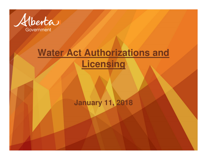

## **Water Act Authorizations and Licensing**

### **January 11, 2018**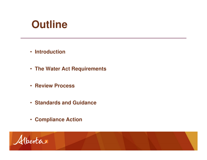# **Outline**

- **Introduction**
- **The Water Act Requirements**
- **Review Process**
- **Standards and Guidance**
- **Compliance Action**

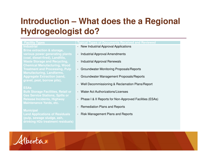### **Introduction – What does the a Regional Hydrogeologist do?**

#### **Industrial**

**Brine extraction & storage, (coal, diesel-fired), Landfills, Waste Storage and Recycling, Chemical Manufacturing, Wood Treatment and Processing, Pulp Manufacturing, Landfarms, Aggregate Extraction (sand, gravel, peat, borrow pits),** 

### **ESAs**

 **Bulk Storage Facilities, Retail or Gas Service Stations, Spills or Release Incidents, Highway Maintenance Yards, etc.**

#### **Municipal**

 **Land Applications of Residuals (pulp, sewage sludge, ash, drinking H2o treatment residuals)**

#### **Facility Types Typical Types of Documents Received and Reviewed**

- New Industrial Approval Applications
- Industrial Approval Amendments
- Industrial Approval Renewals
- Groundwater Monitoring Proposals/Reports
- Groundwater Management Proposals/Reports
- Well Decommissioning & Reclamation Plans/Report
- Water Act Authorizations/Licenses
- Phase I & II Reports for Non-Approved Facilities (ESAs)
- Remediation Plans and Reports
- Risk Management Plans and Reports

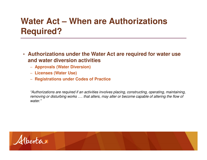### **Water Act – When are Authorizations Required?**

- **Authorizations under the Water Act are required for water use and water diversion activities**
	- **Approvals (Water Diversion)**
	- **Licenses (Water Use)**
	- **Registrations under Codes of Practice**

"Authorizations are required if an activities involves placing, constructing, operating, maintaining, removing or disturbing works …. that alters, may alter or become capable of altering the flow of water."

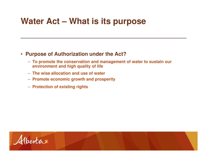### **Water Act – What is its purpose**

### • **Purpose of Authorization under the Act?**

- **To promote the conservation and management of water to sustain our environment and high quality of life**
- **The wise allocation and use of water**
- **Promote economic growth and prosperity**
- **Protection of existing rights**

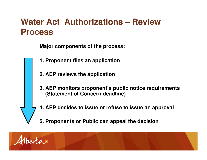### **Water Act Authorizations – Review Process**

**Major components of the process:**

- **1. Proponent files an application**
- **2. AEP reviews the application**
- **3. AEP monitors proponent's public notice requirements (Statement of Concern deadline)**
- **4. AEP decides to issue or refuse to issue an approval**
- **5. Proponents or Public can appeal the decision**

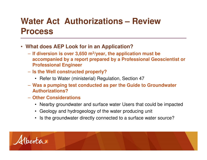### **Water Act Authorizations – Review Process**

- **What does AEP Look for in an Application?**
	- **If diversion is over 3,650 m3/year, the application must be accompanied by a report prepared by a Professional Geoscientist or Professional Engineer**
	- **Is the Well constructed properly?**
		- Refer to Water (ministerial) Regulation, Section 47
	- **Was a pumping test conducted as per the Guide to Groundwater Authorizations?**
	- **Other Considerations**
		- Nearby groundwater and surface water Users that could be impacted
		- Geology and hydrogeology of the water producing unit
		- Is the groundwater directly connected to a surface water source?

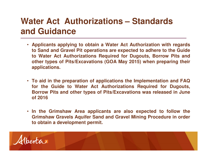### **Water Act Authorizations – Standards and Guidance**

- **Applicants applying to obtain <sup>a</sup> Water Act Authorization with regards** to Sand and Gravel Pit operations are expected to adhere to the Guide **to Water Act Authorizations Required for Dugouts, Borrow Pits and other types of Pits/Excavations (GOA May 2015) when preparing theirapplications.**
- **To aid in the preparation of applications the Implementation and FAQ for the Guide to Water Act Authorizations Required for Dugouts, Borrow Pits and other types of Pits/Excavations was released in Juneof 2016**
- **In the Grimshaw Area applicants are also expected to follow the Grimshaw Gravels Aquifer Sand and Gravel Mining Procedure in orderto obtain <sup>a</sup> development permit.**